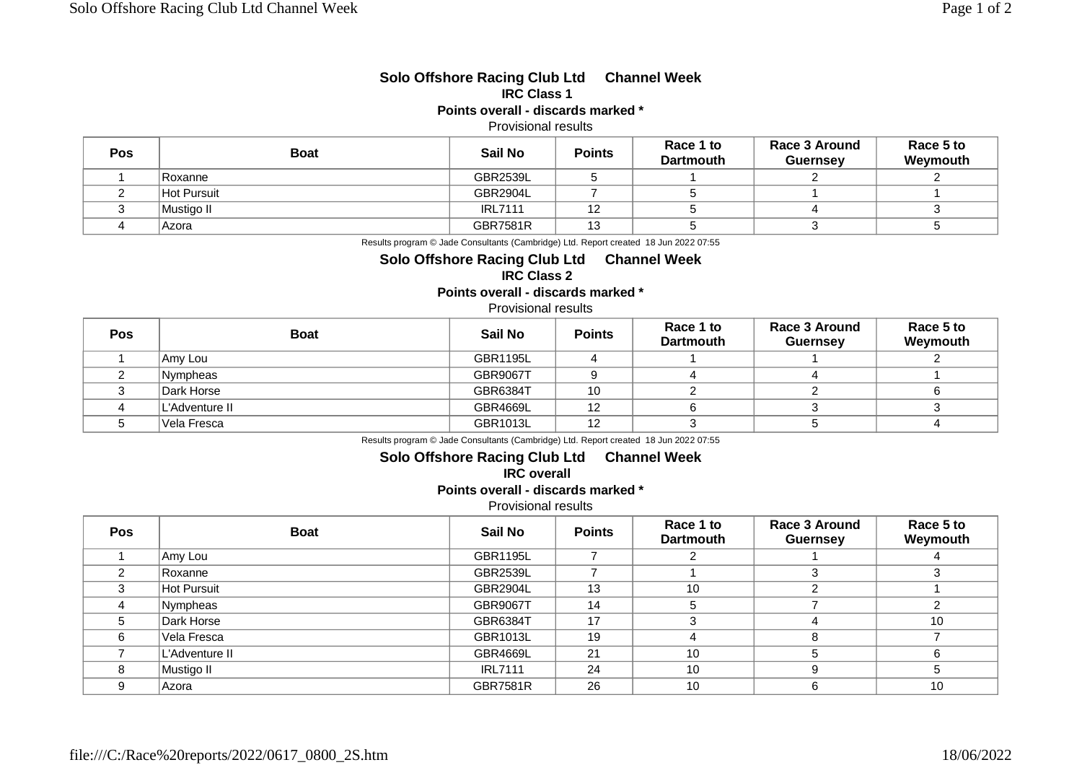# **Solo Offshore Racing Club Ltd Channel Week IRC Class 1**

**Points overall - discards marked \***

## Provisional results

| <b>Pos</b> | <b>Boat</b> | Sail No         | <b>Points</b> | Race 1 to<br><b>Dartmouth</b> | Race 3 Around<br><b>Guernsey</b> | Race 5 to<br>Weymouth |
|------------|-------------|-----------------|---------------|-------------------------------|----------------------------------|-----------------------|
|            | Roxanne     | <b>GBR2539L</b> |               |                               |                                  |                       |
|            | Hot Pursuit | GBR2904L        |               |                               |                                  |                       |
|            | Mustiao II  | <b>IRL7111</b>  | 12            |                               |                                  |                       |
|            | Azora       | <b>GBR7581R</b> | 13            |                               |                                  |                       |

Results program © Jade Consultants (Cambridge) Ltd. Report created 18 Jun 2022 07:55

#### **Solo Offshore Racing Club Ltd Channel Week IRC Class 2**

**Points overall - discards marked \***

### Provisional results

| Pos | <b>Boat</b>    | Sail No         | <b>Points</b> | Race 1 to<br><b>Dartmouth</b> | Race 3 Around<br><b>Guernsey</b> | Race 5 to<br>Weymouth |
|-----|----------------|-----------------|---------------|-------------------------------|----------------------------------|-----------------------|
|     | Amy Lou        | GBR1195L        |               |                               |                                  |                       |
|     | Nympheas       | <b>GBR9067T</b> |               |                               |                                  |                       |
|     | Dark Horse     | GBR6384T        | 10            |                               |                                  |                       |
|     | L'Adventure II | <b>GBR4669L</b> | 12            |                               |                                  |                       |
|     | Vela Fresca    | GBR1013L        | 12            |                               |                                  |                       |

Results program © Jade Consultants (Cambridge) Ltd. Report created 18 Jun 2022 07:55

## **Solo Offshore Racing Club Ltd Channel Week IRC overall**

**Points overall - discards marked \***

Provisional results

| <b>Pos</b> | <b>Boat</b>        | Sail No         | <b>Points</b> | Race 1 to<br><b>Dartmouth</b> | Race 3 Around<br><b>Guernsey</b> | Race 5 to<br>Weymouth |
|------------|--------------------|-----------------|---------------|-------------------------------|----------------------------------|-----------------------|
|            | Amy Lou            | <b>GBR1195L</b> |               |                               |                                  |                       |
|            | Roxanne            | <b>GBR2539L</b> |               |                               |                                  | 3                     |
|            | <b>Hot Pursuit</b> | GBR2904L        | 13            | 10                            |                                  |                       |
|            | Nympheas           | <b>GBR9067T</b> | 14            | 5                             |                                  | ⌒                     |
|            | Dark Horse         | GBR6384T        | 17            | З                             |                                  | 10                    |
| 6          | Vela Fresca        | GBR1013L        | 19            |                               |                                  |                       |
|            | L'Adventure II     | <b>GBR4669L</b> | 21            | 10                            |                                  | 6                     |
| 8          | Mustigo II         | <b>IRL7111</b>  | 24            | 10                            |                                  | 5                     |
|            | Azora              | <b>GBR7581R</b> | 26            | 10                            |                                  | 10                    |